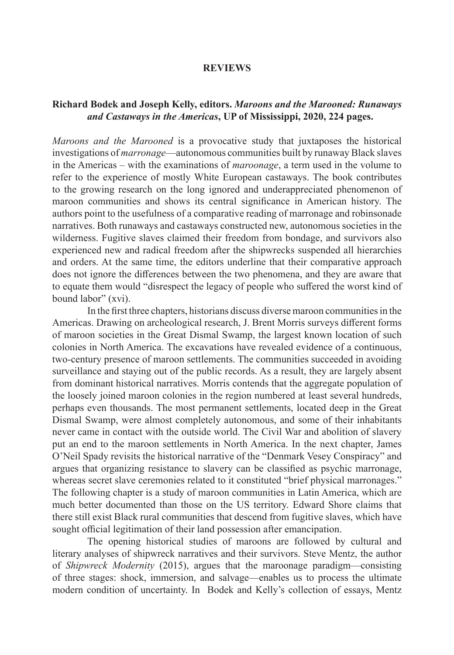### **REVIEWS**

### **Richard Bodek and Joseph Kelly, editors.** *Maroons and the Marooned: Runaways and Castaways in the Americas***, UP of Mississippi, 2020, 224 pages.**

*Maroons and the Marooned* is a provocative study that juxtaposes the historical investigations of *marronage*—autonomous communities built by runaway Black slaves in the Americas – with the examinations of *maroonage*, a term used in the volume to refer to the experience of mostly White European castaways. The book contributes to the growing research on the long ignored and underappreciated phenomenon of maroon communities and shows its central significance in American history. The authors point to the usefulness of a comparative reading of marronage and robinsonade narratives. Both runaways and castaways constructed new, autonomous societies in the wilderness. Fugitive slaves claimed their freedom from bondage, and survivors also experienced new and radical freedom after the shipwrecks suspended all hierarchies and orders. At the same time, the editors underline that their comparative approach does not ignore the differences between the two phenomena, and they are aware that to equate them would "disrespect the legacy of people who suffered the worst kind of bound labor" (xvi).

In the first three chapters, historians discuss diverse maroon communities in the Americas. Drawing on archeological research, J. Brent Morris surveys different forms of maroon societies in the Great Dismal Swamp, the largest known location of such colonies in North America. The excavations have revealed evidence of a continuous, two-century presence of maroon settlements. The communities succeeded in avoiding surveillance and staying out of the public records. As a result, they are largely absent from dominant historical narratives. Morris contends that the aggregate population of the loosely joined maroon colonies in the region numbered at least several hundreds, perhaps even thousands. The most permanent settlements, located deep in the Great Dismal Swamp, were almost completely autonomous, and some of their inhabitants never came in contact with the outside world. The Civil War and abolition of slavery put an end to the maroon settlements in North America. In the next chapter, James O'Neil Spady revisits the historical narrative of the "Denmark Vesey Conspiracy" and argues that organizing resistance to slavery can be classified as psychic marronage, whereas secret slave ceremonies related to it constituted "brief physical marronages." The following chapter is a study of maroon communities in Latin America, which are much better documented than those on the US territory. Edward Shore claims that there still exist Black rural communities that descend from fugitive slaves, which have sought official legitimation of their land possession after emancipation.

The opening historical studies of maroons are followed by cultural and literary analyses of shipwreck narratives and their survivors. Steve Mentz, the author of *Shipwreck Modernity* (2015), argues that the maroonage paradigm—consisting of three stages: shock, immersion, and salvage—enables us to process the ultimate modern condition of uncertainty. In Bodek and Kelly's collection of essays, Mentz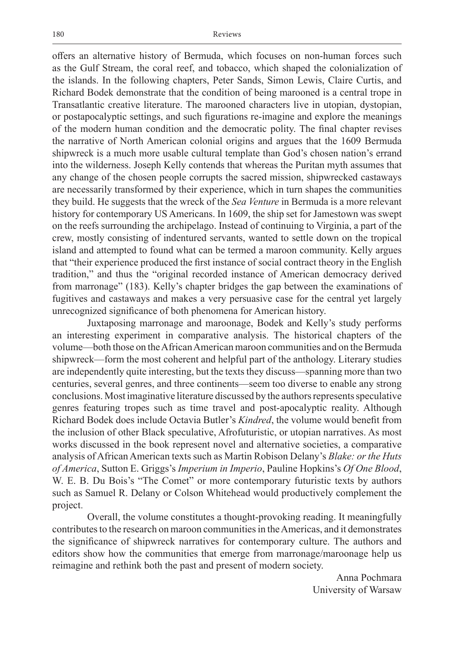offers an alternative history of Bermuda, which focuses on non-human forces such as the Gulf Stream, the coral reef, and tobacco, which shaped the colonialization of the islands. In the following chapters, Peter Sands, Simon Lewis, Claire Curtis, and Richard Bodek demonstrate that the condition of being marooned is a central trope in Transatlantic creative literature. The marooned characters live in utopian, dystopian, or postapocalyptic settings, and such figurations re-imagine and explore the meanings of the modern human condition and the democratic polity. The final chapter revises the narrative of North American colonial origins and argues that the 1609 Bermuda shipwreck is a much more usable cultural template than God's chosen nation's errand into the wilderness. Joseph Kelly contends that whereas the Puritan myth assumes that any change of the chosen people corrupts the sacred mission, shipwrecked castaways are necessarily transformed by their experience, which in turn shapes the communities they build. He suggests that the wreck of the *Sea Venture* in Bermuda is a more relevant history for contemporary US Americans. In 1609, the ship set for Jamestown was swept on the reefs surrounding the archipelago. Instead of continuing to Virginia, a part of the crew, mostly consisting of indentured servants, wanted to settle down on the tropical island and attempted to found what can be termed a maroon community. Kelly argues that "their experience produced the first instance of social contract theory in the English tradition," and thus the "original recorded instance of American democracy derived from marronage" (183). Kelly's chapter bridges the gap between the examinations of fugitives and castaways and makes a very persuasive case for the central yet largely unrecognized significance of both phenomena for American history.

Juxtaposing marronage and maroonage, Bodek and Kelly's study performs an interesting experiment in comparative analysis. The historical chapters of the volume—both those on the African American maroon communities and on the Bermuda shipwreck—form the most coherent and helpful part of the anthology. Literary studies are independently quite interesting, but the texts they discuss—spanning more than two centuries, several genres, and three continents—seem too diverse to enable any strong conclusions. Most imaginative literature discussed by the authors represents speculative genres featuring tropes such as time travel and post-apocalyptic reality. Although Richard Bodek does include Octavia Butler's *Kindred*, the volume would benefit from the inclusion of other Black speculative, Afrofuturistic, or utopian narratives. As most works discussed in the book represent novel and alternative societies, a comparative analysis of African American texts such as Martin Robison Delany's *Blake: or the Huts of America*, Sutton E. Griggs's *Imperium in Imperio*, Pauline Hopkins's *Of One Blood*, W. E. B. Du Bois's "The Comet" or more contemporary futuristic texts by authors such as Samuel R. Delany or Colson Whitehead would productively complement the project.

Overall, the volume constitutes a thought-provoking reading. It meaningfully contributes to the research on maroon communities in the Americas, and it demonstrates the significance of shipwreck narratives for contemporary culture. The authors and editors show how the communities that emerge from marronage/maroonage help us reimagine and rethink both the past and present of modern society.

> Anna Pochmara University of Warsaw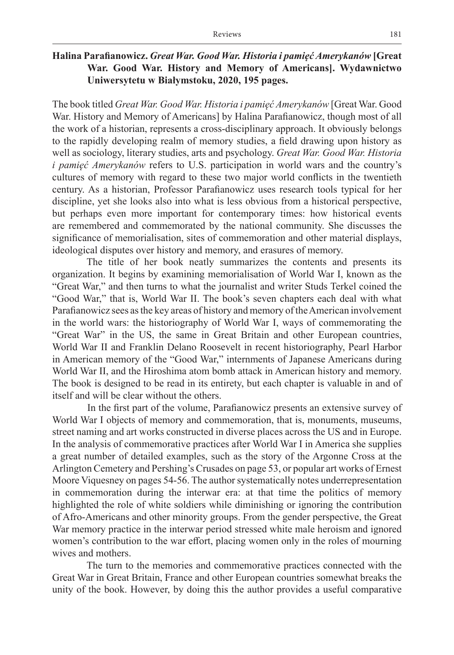# **Halina Parafianowicz.** *Great War. Good War. Historia i pamięć Amerykanów* **[Great War. Good War. History and Memory of Americans]. Wydawnictwo Uniwersytetu w Białymstoku, 2020, 195 pages.**

The book titled *Great War. Good War. Historia i pamięć Amerykanów* [Great War. Good War. History and Memory of Americans] by Halina Parafianowicz, though most of all the work of a historian, represents a cross-disciplinary approach. It obviously belongs to the rapidly developing realm of memory studies, a field drawing upon history as well as sociology, literary studies, arts and psychology. *Great War. Good War. Historia i pamięć Amerykanów* refers to U.S. participation in world wars and the country's cultures of memory with regard to these two major world conflicts in the twentieth century. As a historian, Professor Parafianowicz uses research tools typical for her discipline, yet she looks also into what is less obvious from a historical perspective, but perhaps even more important for contemporary times: how historical events are remembered and commemorated by the national community. She discusses the significance of memorialisation, sites of commemoration and other material displays, ideological disputes over history and memory, and erasures of memory.

The title of her book neatly summarizes the contents and presents its organization. It begins by examining memorialisation of World War I, known as the "Great War," and then turns to what the journalist and writer Studs Terkel coined the "Good War," that is, World War II. The book's seven chapters each deal with what Parafianowicz sees as the key areas of history and memory of the American involvement in the world wars: the historiography of World War I, ways of commemorating the "Great War" in the US, the same in Great Britain and other European countries, World War II and Franklin Delano Roosevelt in recent historiography, Pearl Harbor in American memory of the "Good War," internments of Japanese Americans during World War II, and the Hiroshima atom bomb attack in American history and memory. The book is designed to be read in its entirety, but each chapter is valuable in and of itself and will be clear without the others.

In the first part of the volume, Parafianowicz presents an extensive survey of World War I objects of memory and commemoration, that is, monuments, museums, street naming and art works constructed in diverse places across the US and in Europe. In the analysis of commemorative practices after World War I in America she supplies a great number of detailed examples, such as the story of the Argonne Cross at the Arlington Cemetery and Pershing's Crusades on page 53, or popular art works of Ernest Moore Viquesney on pages 54-56. The author systematically notes underrepresentation in commemoration during the interwar era: at that time the politics of memory highlighted the role of white soldiers while diminishing or ignoring the contribution of Afro-Americans and other minority groups. From the gender perspective, the Great War memory practice in the interwar period stressed white male heroism and ignored women's contribution to the war effort, placing women only in the roles of mourning wives and mothers.

The turn to the memories and commemorative practices connected with the Great War in Great Britain, France and other European countries somewhat breaks the unity of the book. However, by doing this the author provides a useful comparative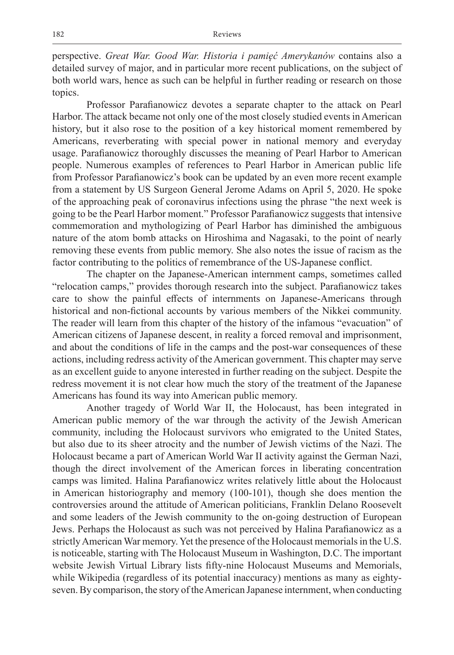perspective. *Great War. Good War. Historia i pamięć Amerykanów* contains also a detailed survey of major, and in particular more recent publications, on the subject of both world wars, hence as such can be helpful in further reading or research on those topics.

Professor Parafianowicz devotes a separate chapter to the attack on Pearl Harbor. The attack became not only one of the most closely studied events in American history, but it also rose to the position of a key historical moment remembered by Americans, reverberating with special power in national memory and everyday usage. Parafianowicz thoroughly discusses the meaning of Pearl Harbor to American people. Numerous examples of references to Pearl Harbor in American public life from Professor Parafianowicz's book can be updated by an even more recent example from a statement by US Surgeon General Jerome Adams on April 5, 2020. He spoke of the approaching peak of coronavirus infections using the phrase "the next week is going to be the Pearl Harbor moment." Professor Parafianowicz suggests that intensive commemoration and mythologizing of Pearl Harbor has diminished the ambiguous nature of the atom bomb attacks on Hiroshima and Nagasaki, to the point of nearly removing these events from public memory. She also notes the issue of racism as the factor contributing to the politics of remembrance of the US-Japanese conflict.

The chapter on the Japanese-American internment camps, sometimes called "relocation camps," provides thorough research into the subject. Parafianowicz takes care to show the painful effects of internments on Japanese-Americans through historical and non-fictional accounts by various members of the Nikkei community. The reader will learn from this chapter of the history of the infamous "evacuation" of American citizens of Japanese descent, in reality a forced removal and imprisonment, and about the conditions of life in the camps and the post-war consequences of these actions, including redress activity of the American government. This chapter may serve as an excellent guide to anyone interested in further reading on the subject. Despite the redress movement it is not clear how much the story of the treatment of the Japanese Americans has found its way into American public memory.

Another tragedy of World War II, the Holocaust, has been integrated in American public memory of the war through the activity of the Jewish American community, including the Holocaust survivors who emigrated to the United States, but also due to its sheer atrocity and the number of Jewish victims of the Nazi. The Holocaust became a part of American World War II activity against the German Nazi, though the direct involvement of the American forces in liberating concentration camps was limited. Halina Parafianowicz writes relatively little about the Holocaust in American historiography and memory (100-101), though she does mention the controversies around the attitude of American politicians, Franklin Delano Roosevelt and some leaders of the Jewish community to the on-going destruction of European Jews. Perhaps the Holocaust as such was not perceived by Halina Parafianowicz as a strictly American War memory. Yet the presence of the Holocaust memorials in the U.S. is noticeable, starting with The Holocaust Museum in Washington, D.C. The important website Jewish Virtual Library lists fifty-nine Holocaust Museums and Memorials, while Wikipedia (regardless of its potential inaccuracy) mentions as many as eightyseven. By comparison, the story of the American Japanese internment, when conducting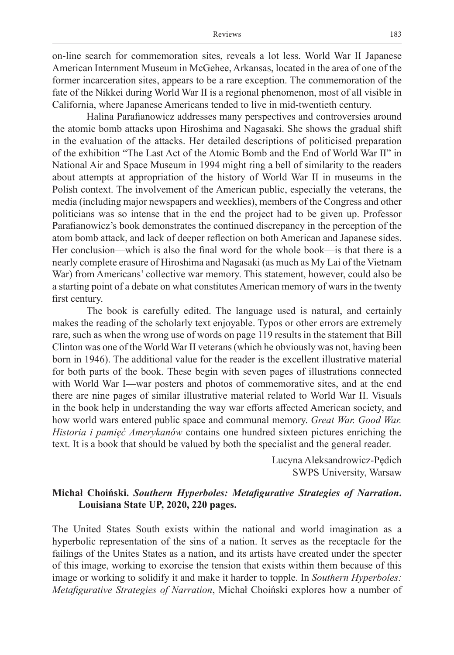on-line search for commemoration sites, reveals a lot less. World War II Japanese American Internment Museum in McGehee, Arkansas, located in the area of one of the former incarceration sites, appears to be a rare exception. The commemoration of the fate of the Nikkei during World War II is a regional phenomenon, most of all visible in California, where Japanese Americans tended to live in mid-twentieth century.

Halina Parafianowicz addresses many perspectives and controversies around the atomic bomb attacks upon Hiroshima and Nagasaki. She shows the gradual shift in the evaluation of the attacks. Her detailed descriptions of politicised preparation of the exhibition "The Last Act of the Atomic Bomb and the End of World War II" in National Air and Space Museum in 1994 might ring a bell of similarity to the readers about attempts at appropriation of the history of World War II in museums in the Polish context. The involvement of the American public, especially the veterans, the media (including major newspapers and weeklies), members of the Congress and other politicians was so intense that in the end the project had to be given up. Professor Parafianowicz's book demonstrates the continued discrepancy in the perception of the atom bomb attack, and lack of deeper reflection on both American and Japanese sides. Her conclusion—which is also the final word for the whole book—is that there is a nearly complete erasure of Hiroshima and Nagasaki (as much as My Lai of the Vietnam War) from Americans' collective war memory. This statement, however, could also be a starting point of a debate on what constitutes American memory of wars in the twenty first century.

The book is carefully edited. The language used is natural, and certainly makes the reading of the scholarly text enjoyable. Typos or other errors are extremely rare, such as when the wrong use of words on page 119 results in the statement that Bill Clinton was one of the World War II veterans (which he obviously was not, having been born in 1946). The additional value for the reader is the excellent illustrative material for both parts of the book. These begin with seven pages of illustrations connected with World War I—war posters and photos of commemorative sites, and at the end there are nine pages of similar illustrative material related to World War II. Visuals in the book help in understanding the way war efforts affected American society, and how world wars entered public space and communal memory. *Great War. Good War. Historia i pamięć Amerykanów* contains one hundred sixteen pictures enriching the text. It is a book that should be valued by both the specialist and the general reader.

> Lucyna Aleksandrowicz-Pędich SWPS University, Warsaw

## **Michał Choiński.** *Southern Hyperboles: Metafigurative Strategies of Narration***. Louisiana State UP, 2020, 220 pages.**

The United States South exists within the national and world imagination as a hyperbolic representation of the sins of a nation. It serves as the receptacle for the failings of the Unites States as a nation, and its artists have created under the specter of this image, working to exorcise the tension that exists within them because of this image or working to solidify it and make it harder to topple. In *Southern Hyperboles: Metafigurative Strategies of Narration*, Michał Choiński explores how a number of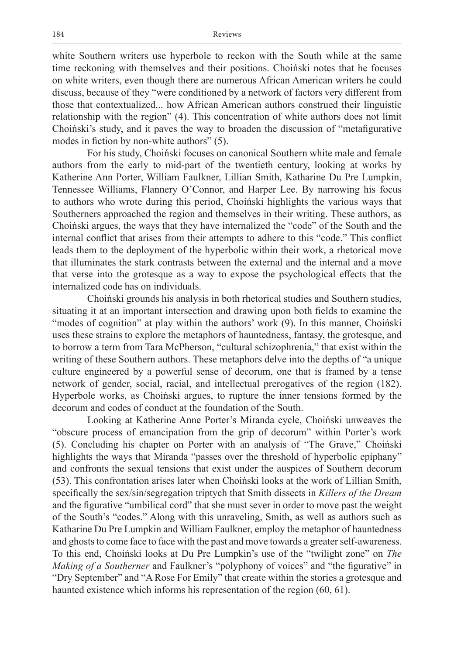white Southern writers use hyperbole to reckon with the South while at the same time reckoning with themselves and their positions. Choiński notes that he focuses on white writers, even though there are numerous African American writers he could discuss, because of they "were conditioned by a network of factors very different from those that contextualized... how African American authors construed their linguistic relationship with the region" (4). This concentration of white authors does not limit Choiński's study, and it paves the way to broaden the discussion of "metafigurative modes in fiction by non-white authors" (5).

For his study, Choiński focuses on canonical Southern white male and female authors from the early to mid-part of the twentieth century, looking at works by Katherine Ann Porter, William Faulkner, Lillian Smith, Katharine Du Pre Lumpkin, Tennessee Williams, Flannery O'Connor, and Harper Lee. By narrowing his focus to authors who wrote during this period, Choiński highlights the various ways that Southerners approached the region and themselves in their writing. These authors, as Choiński argues, the ways that they have internalized the "code" of the South and the internal conflict that arises from their attempts to adhere to this "code." This conflict leads them to the deployment of the hyperbolic within their work, a rhetorical move that illuminates the stark contrasts between the external and the internal and a move that verse into the grotesque as a way to expose the psychological effects that the internalized code has on individuals.

Choiński grounds his analysis in both rhetorical studies and Southern studies, situating it at an important intersection and drawing upon both fields to examine the "modes of cognition" at play within the authors' work (9). In this manner, Choiński uses these strains to explore the metaphors of hauntedness, fantasy, the grotesque, and to borrow a term from Tara McPherson, "cultural schizophrenia," that exist within the writing of these Southern authors. These metaphors delve into the depths of "a unique culture engineered by a powerful sense of decorum, one that is framed by a tense network of gender, social, racial, and intellectual prerogatives of the region (182). Hyperbole works, as Choiński argues, to rupture the inner tensions formed by the decorum and codes of conduct at the foundation of the South.

Looking at Katherine Anne Porter's Miranda cycle, Choiński unweaves the "obscure process of emancipation from the grip of decorum" within Porter's work (5). Concluding his chapter on Porter with an analysis of "The Grave," Choiński highlights the ways that Miranda "passes over the threshold of hyperbolic epiphany" and confronts the sexual tensions that exist under the auspices of Southern decorum (53). This confrontation arises later when Choiński looks at the work of Lillian Smith, specifically the sex/sin/segregation triptych that Smith dissects in *Killers of the Dream* and the figurative "umbilical cord" that she must sever in order to move past the weight of the South's "codes." Along with this unraveling, Smith, as well as authors such as Katharine Du Pre Lumpkin and William Faulkner, employ the metaphor of hauntedness and ghosts to come face to face with the past and move towards a greater self-awareness. To this end, Choiński looks at Du Pre Lumpkin's use of the "twilight zone" on *The Making of a Southerner* and Faulkner's "polyphony of voices" and "the figurative" in "Dry September" and "A Rose For Emily" that create within the stories a grotesque and haunted existence which informs his representation of the region (60, 61).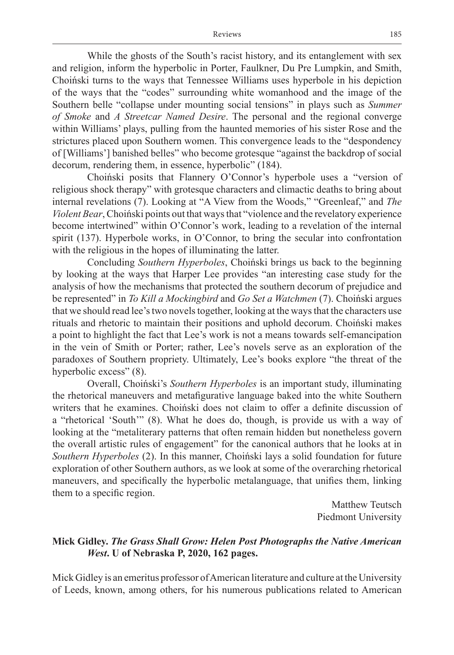While the ghosts of the South's racist history, and its entanglement with sex and religion, inform the hyperbolic in Porter, Faulkner, Du Pre Lumpkin, and Smith, Choiński turns to the ways that Tennessee Williams uses hyperbole in his depiction of the ways that the "codes" surrounding white womanhood and the image of the Southern belle "collapse under mounting social tensions" in plays such as *Summer of Smoke* and *A Streetcar Named Desire*. The personal and the regional converge within Williams' plays, pulling from the haunted memories of his sister Rose and the strictures placed upon Southern women. This convergence leads to the "despondency of [Williams'] banished belles" who become grotesque "against the backdrop of social decorum, rendering them, in essence, hyperbolic" (184).

Choiński posits that Flannery O'Connor's hyperbole uses a "version of religious shock therapy" with grotesque characters and climactic deaths to bring about internal revelations (7). Looking at "A View from the Woods," "Greenleaf," and *The Violent Bear*, Choiński points out that ways that "violence and the revelatory experience become intertwined" within O'Connor's work, leading to a revelation of the internal spirit (137). Hyperbole works, in O'Connor, to bring the secular into confrontation with the religious in the hopes of illuminating the latter.

Concluding *Southern Hyperboles*, Choiński brings us back to the beginning by looking at the ways that Harper Lee provides "an interesting case study for the analysis of how the mechanisms that protected the southern decorum of prejudice and be represented" in *To Kill a Mockingbird* and *Go Set a Watchmen* (7). Choiński argues that we should read lee's two novels together, looking at the ways that the characters use rituals and rhetoric to maintain their positions and uphold decorum. Choiński makes a point to highlight the fact that Lee's work is not a means towards self-emancipation in the vein of Smith or Porter; rather, Lee's novels serve as an exploration of the paradoxes of Southern propriety. Ultimately, Lee's books explore "the threat of the hyperbolic excess" (8).

Overall, Choiński's *Southern Hyperboles* is an important study, illuminating the rhetorical maneuvers and metafigurative language baked into the white Southern writers that he examines. Choiński does not claim to offer a definite discussion of a "rhetorical 'South'" (8). What he does do, though, is provide us with a way of looking at the "metaliterary patterns that often remain hidden but nonetheless govern the overall artistic rules of engagement" for the canonical authors that he looks at in *Southern Hyperboles* (2). In this manner, Choiński lays a solid foundation for future exploration of other Southern authors, as we look at some of the overarching rhetorical maneuvers, and specifically the hyperbolic metalanguage, that unifies them, linking them to a specific region.

> Matthew Teutsch Piedmont University

### **Mick Gidley.** *The Grass Shall Grow: Helen Post Photographs the Native American West***. U of Nebraska P, 2020, 162 pages.**

Mick Gidley is an emeritus professor of American literature and culture at the University of Leeds, known, among others, for his numerous publications related to American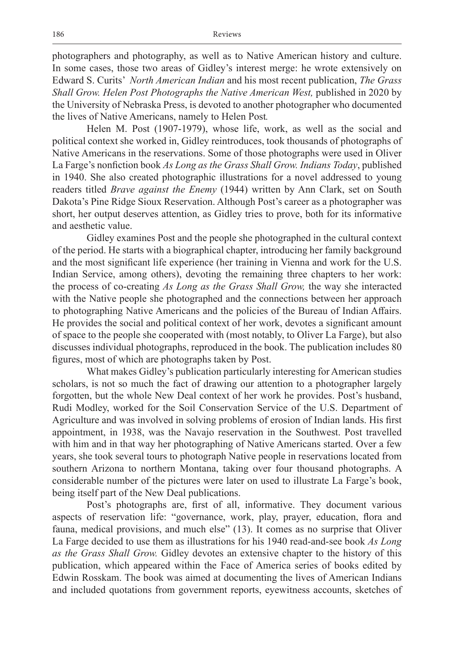photographers and photography, as well as to Native American history and culture. In some cases, those two areas of Gidley's interest merge: he wrote extensively on Edward S. Curits' *North American Indian* and his most recent publication, *The Grass Shall Grow. Helen Post Photographs the Native American West,* published in 2020 by the University of Nebraska Press, is devoted to another photographer who documented the lives of Native Americans, namely to Helen Post*.* 

Helen M. Post (1907-1979), whose life, work, as well as the social and political context she worked in, Gidley reintroduces, took thousands of photographs of Native Americans in the reservations. Some of those photographs were used in Oliver La Farge's nonfiction book *As Long as the Grass Shall Grow. Indians Today*, published in 1940. She also created photographic illustrations for a novel addressed to young readers titled *Brave against the Enemy* (1944) written by Ann Clark, set on South Dakota's Pine Ridge Sioux Reservation. Although Post's career as a photographer was short, her output deserves attention, as Gidley tries to prove, both for its informative and aesthetic value.

Gidley examines Post and the people she photographed in the cultural context of the period. He starts with a biographical chapter, introducing her family background and the most significant life experience (her training in Vienna and work for the U.S. Indian Service, among others), devoting the remaining three chapters to her work: the process of co-creating *As Long as the Grass Shall Grow,* the way she interacted with the Native people she photographed and the connections between her approach to photographing Native Americans and the policies of the Bureau of Indian Affairs. He provides the social and political context of her work, devotes a significant amount of space to the people she cooperated with (most notably, to Oliver La Farge), but also discusses individual photographs, reproduced in the book. The publication includes 80 figures, most of which are photographs taken by Post.

What makes Gidley's publication particularly interesting for American studies scholars, is not so much the fact of drawing our attention to a photographer largely forgotten, but the whole New Deal context of her work he provides. Post's husband, Rudi Modley, worked for the Soil Conservation Service of the U.S. Department of Agriculture and was involved in solving problems of erosion of Indian lands. His first appointment, in 1938, was the Navajo reservation in the Southwest. Post travelled with him and in that way her photographing of Native Americans started. Over a few years, she took several tours to photograph Native people in reservations located from southern Arizona to northern Montana, taking over four thousand photographs. A considerable number of the pictures were later on used to illustrate La Farge's book, being itself part of the New Deal publications.

Post's photographs are, first of all, informative. They document various aspects of reservation life: "governance, work, play, prayer, education, flora and fauna, medical provisions, and much else" (13). It comes as no surprise that Oliver La Farge decided to use them as illustrations for his 1940 read-and-see book *As Long as the Grass Shall Grow.* Gidley devotes an extensive chapter to the history of this publication, which appeared within the Face of America series of books edited by Edwin Rosskam. The book was aimed at documenting the lives of American Indians and included quotations from government reports, eyewitness accounts, sketches of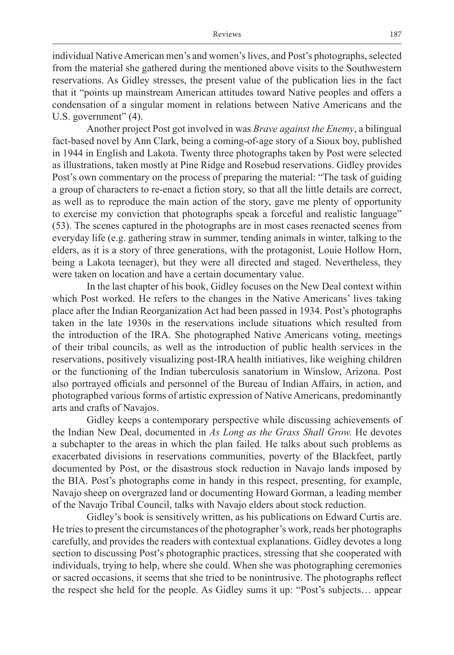individual Native American men's and women's lives, and Post's photographs, selected from the material she gathered during the mentioned above visits to the Southwestern reservations. As Gidley stresses, the present value of the publication lies in the fact that it "points up mainstream American attitudes toward Native peoples and offers a condensation of a singular moment in relations between Native Americans and the U.S. government" (4).

Another project Post got involved in was *Brave against the Enemy*, a bilingual fact-based novel by Ann Clark, being a coming-of-age story of a Sioux boy, published in 1944 in English and Lakota. Twenty three photographs taken by Post were selected as illustrations, taken mostly at Pine Ridge and Rosebud reservations. Gidley provides Post's own commentary on the process of preparing the material: "The task of guiding a group of characters to re-enact a fiction story, so that all the little details are correct, as well as to reproduce the main action of the story, gave me plenty of opportunity to exercise my conviction that photographs speak a forceful and realistic language" (53). The scenes captured in the photographs are in most cases reenacted scenes from everyday life (e.g. gathering straw in summer, tending animals in winter, talking to the elders, as it is a story of three generations, with the protagonist, Louie Hollow Horn, being a Lakota teenager), but they were all directed and staged. Nevertheless, they were taken on location and have a certain documentary value.

In the last chapter of his book, Gidley focuses on the New Deal context within which Post worked. He refers to the changes in the Native Americans' lives taking place after the Indian Reorganization Act had been passed in 1934. Post's photographs taken in the late 1930s in the reservations include situations which resulted from the introduction of the IRA. She photographed Native Americans voting, meetings of their tribal councils, as well as the introduction of public health services in the reservations, positively visualizing post-IRA health initiatives, like weighing children or the functioning of the Indian tuberculosis sanatorium in Winslow, Arizona. Post also portrayed officials and personnel of the Bureau of Indian Affairs, in action, and photographed various forms of artistic expression of Native Americans, predominantly arts and crafts of Navajos.

Gidley keeps a contemporary perspective while discussing achievements of the Indian New Deal, documented in *As Long as the Grass Shall Grow.* He devotes a subchapter to the areas in which the plan failed. He talks about such problems as exacerbated divisions in reservations communities, poverty of the Blackfeet, partly documented by Post, or the disastrous stock reduction in Navajo lands imposed by the BIA. Post's photographs come in handy in this respect, presenting, for example, Navajo sheep on overgrazed land or documenting Howard Gorman, a leading member of the Navajo Tribal Council, talks with Navajo elders about stock reduction.

Gidley's book is sensitively written, as his publications on Edward Curtis are. He tries to present the circumstances of the photographer's work, reads her photographs carefully, and provides the readers with contextual explanations. Gidley devotes a long section to discussing Post's photographic practices, stressing that she cooperated with individuals, trying to help, where she could. When she was photographing ceremonies or sacred occasions, it seems that she tried to be nonintrusive. The photographs reflect the respect she held for the people. As Gidley sums it up: "Post's subjects… appear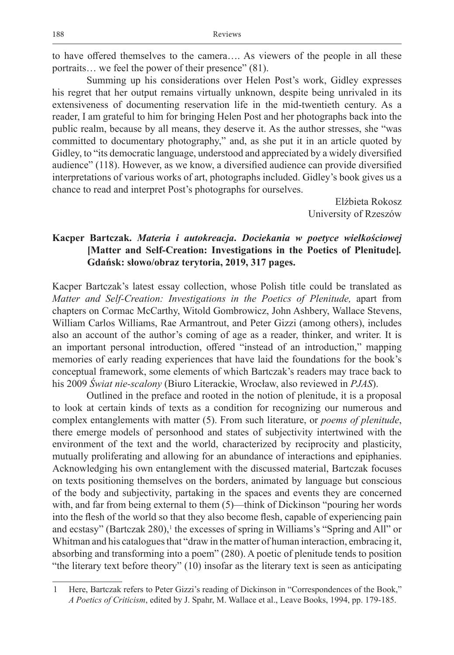to have offered themselves to the camera…. As viewers of the people in all these portraits… we feel the power of their presence" (81).

Summing up his considerations over Helen Post's work, Gidley expresses his regret that her output remains virtually unknown, despite being unrivaled in its extensiveness of documenting reservation life in the mid-twentieth century. As a reader, I am grateful to him for bringing Helen Post and her photographs back into the public realm, because by all means, they deserve it. As the author stresses, she "was committed to documentary photography," and, as she put it in an article quoted by Gidley, to "its democratic language, understood and appreciated by a widely diversified audience" (118). However, as we know, a diversified audience can provide diversified interpretations of various works of art, photographs included. Gidley's book gives us a chance to read and interpret Post's photographs for ourselves.

> Elżbieta Rokosz University of Rzeszów

## **Kacper Bartczak.** *Materia i autokreacja***.** *Dociekania w poetyce wielkościowej* **[Matter and Self-Creation: Investigations in the Poetics of Plenitude]***.*  **Gdańsk: słowo/obraz terytoria, 2019, 317 pages.**

Kacper Bartczak's latest essay collection, whose Polish title could be translated as *Matter and Self-Creation: Investigations in the Poetics of Plenitude,* apart from chapters on Cormac McCarthy, Witold Gombrowicz, John Ashbery, Wallace Stevens, William Carlos Williams, Rae Armantrout, and Peter Gizzi (among others), includes also an account of the author's coming of age as a reader, thinker, and writer. It is an important personal introduction, offered "instead of an introduction," mapping memories of early reading experiences that have laid the foundations for the book's conceptual framework, some elements of which Bartczak's readers may trace back to his 2009 *Świat nie-scalony* (Biuro Literackie, Wrocław, also reviewed in *PJAS*).

Outlined in the preface and rooted in the notion of plenitude, it is a proposal to look at certain kinds of texts as a condition for recognizing our numerous and complex entanglements with matter (5). From such literature, or *poems of plenitude*, there emerge models of personhood and states of subjectivity intertwined with the environment of the text and the world, characterized by reciprocity and plasticity, mutually proliferating and allowing for an abundance of interactions and epiphanies. Acknowledging his own entanglement with the discussed material, Bartczak focuses on texts positioning themselves on the borders, animated by language but conscious of the body and subjectivity, partaking in the spaces and events they are concerned with, and far from being external to them  $(5)$ —think of Dickinson "pouring her words" into the flesh of the world so that they also become flesh, capable of experiencing pain and ecstasy" (Bartczak 280),<sup>1</sup> the excesses of spring in Williams's "Spring and All" or Whitman and his catalogues that "draw in the matter of human interaction, embracing it, absorbing and transforming into a poem" (280). A poetic of plenitude tends to position "the literary text before theory" (10) insofar as the literary text is seen as anticipating

<sup>1</sup> Here, Bartczak refers to Peter Gizzi's reading of Dickinson in "Correspondences of the Book," *A Poetics of Criticism*, edited by J. Spahr, M. Wallace et al., Leave Books, 1994, pp. 179-185.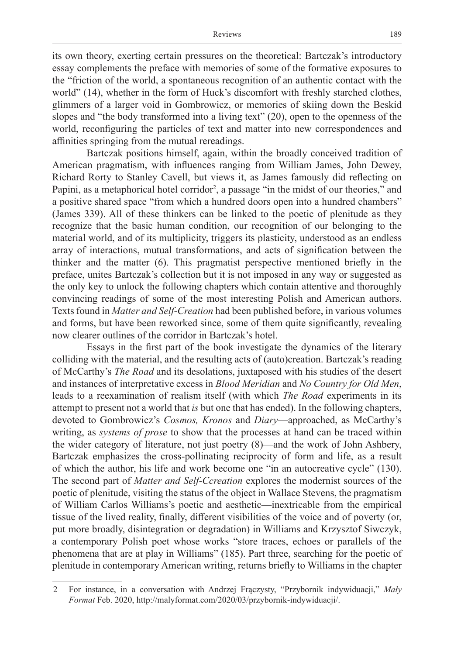its own theory, exerting certain pressures on the theoretical: Bartczak's introductory essay complements the preface with memories of some of the formative exposures to the "friction of the world, a spontaneous recognition of an authentic contact with the world" (14), whether in the form of Huck's discomfort with freshly starched clothes, glimmers of a larger void in Gombrowicz, or memories of skiing down the Beskid slopes and "the body transformed into a living text" (20), open to the openness of the world, reconfiguring the particles of text and matter into new correspondences and affinities springing from the mutual rereadings.

Bartczak positions himself, again, within the broadly conceived tradition of American pragmatism, with influences ranging from William James, John Dewey, Richard Rorty to Stanley Cavell, but views it, as James famously did reflecting on Papini, as a metaphorical hotel corridor<sup>2</sup>, a passage "in the midst of our theories," and a positive shared space "from which a hundred doors open into a hundred chambers" (James 339). All of these thinkers can be linked to the poetic of plenitude as they recognize that the basic human condition, our recognition of our belonging to the material world, and of its multiplicity, triggers its plasticity, understood as an endless array of interactions, mutual transformations, and acts of signification between the thinker and the matter (6). This pragmatist perspective mentioned briefly in the preface, unites Bartczak's collection but it is not imposed in any way or suggested as the only key to unlock the following chapters which contain attentive and thoroughly convincing readings of some of the most interesting Polish and American authors. Texts found in *Matter and Self-Creation* had been published before, in various volumes and forms, but have been reworked since, some of them quite significantly, revealing now clearer outlines of the corridor in Bartczak's hotel.

Essays in the first part of the book investigate the dynamics of the literary colliding with the material, and the resulting acts of (auto)creation. Bartczak's reading of McCarthy's *The Road* and its desolations, juxtaposed with his studies of the desert and instances of interpretative excess in *Blood Meridian* and *No Country for Old Men*, leads to a reexamination of realism itself (with which *The Road* experiments in its attempt to present not a world that *is* but one that has ended). In the following chapters, devoted to Gombrowicz's *Cosmos, Kronos* and *Diary*—approached, as McCarthy's writing, as *systems of prose* to show that the processes at hand can be traced within the wider category of literature, not just poetry (8)—and the work of John Ashbery, Bartczak emphasizes the cross-pollinating reciprocity of form and life, as a result of which the author, his life and work become one "in an autocreative cycle" (130). The second part of *Matter and Self-Ccreation* explores the modernist sources of the poetic of plenitude, visiting the status of the object in Wallace Stevens, the pragmatism of William Carlos Williams's poetic and aesthetic—inextricable from the empirical tissue of the lived reality, finally, different visibilities of the voice and of poverty (or, put more broadly, disintegration or degradation) in Williams and Krzysztof Siwczyk, a contemporary Polish poet whose works "store traces, echoes or parallels of the phenomena that are at play in Williams" (185). Part three, searching for the poetic of plenitude in contemporary American writing, returns briefly to Williams in the chapter

<sup>2</sup> For instance, in a conversation with Andrzej Frączysty, "Przybornik indywiduacji," *Mały Format* Feb. 2020, http://malyformat.com/2020/03/przybornik-indywiduacji/.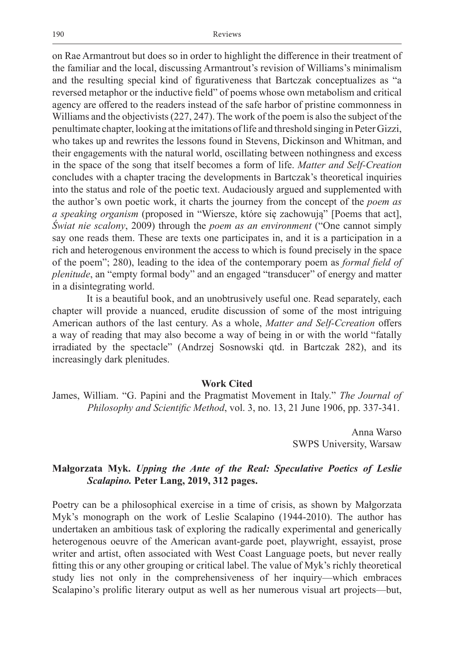on Rae Armantrout but does so in order to highlight the difference in their treatment of the familiar and the local, discussing Armantrout's revision of Williams's minimalism and the resulting special kind of figurativeness that Bartczak conceptualizes as "a reversed metaphor or the inductive field" of poems whose own metabolism and critical agency are offered to the readers instead of the safe harbor of pristine commonness in Williams and the objectivists (227, 247). The work of the poem is also the subject of the penultimate chapter, looking at the imitations of life and threshold singing in Peter Gizzi, who takes up and rewrites the lessons found in Stevens, Dickinson and Whitman, and their engagements with the natural world, oscillating between nothingness and excess in the space of the song that itself becomes a form of life. *Matter and Self-Creation* concludes with a chapter tracing the developments in Bartczak's theoretical inquiries into the status and role of the poetic text. Audaciously argued and supplemented with the author's own poetic work, it charts the journey from the concept of the *poem as a speaking organism* (proposed in "Wiersze, które się zachowują" [Poems that act], *Świat nie scalony*, 2009) through the *poem as an environment* ("One cannot simply say one reads them. These are texts one participates in, and it is a participation in a rich and heterogenous environment the access to which is found precisely in the space of the poem"; 280), leading to the idea of the contemporary poem as *formal field of plenitude*, an "empty formal body" and an engaged "transducer" of energy and matter in a disintegrating world.

It is a beautiful book, and an unobtrusively useful one. Read separately, each chapter will provide a nuanced, erudite discussion of some of the most intriguing American authors of the last century. As a whole, *Matter and Self-Ccreation* offers a way of reading that may also become a way of being in or with the world "fatally irradiated by the spectacle" (Andrzej Sosnowski qtd. in Bartczak 282), and its increasingly dark plenitudes.

#### **Work Cited**

James, William. "G. Papini and the Pragmatist Movement in Italy." *The Journal of Philosophy and Scientific Method*, vol. 3, no. 13, 21 June 1906, pp. 337-341.

> Anna Warso SWPS University, Warsaw

### **Małgorzata Myk.** *Upping the Ante of the Real: Speculative Poetics of Leslie Scalapino.* **Peter Lang, 2019, 312 pages.**

Poetry can be a philosophical exercise in a time of crisis, as shown by Małgorzata Myk's monograph on the work of Leslie Scalapino (1944-2010). The author has undertaken an ambitious task of exploring the radically experimental and generically heterogenous oeuvre of the American avant-garde poet, playwright, essayist, prose writer and artist, often associated with West Coast Language poets, but never really fitting this or any other grouping or critical label. The value of Myk's richly theoretical study lies not only in the comprehensiveness of her inquiry—which embraces Scalapino's prolific literary output as well as her numerous visual art projects—but,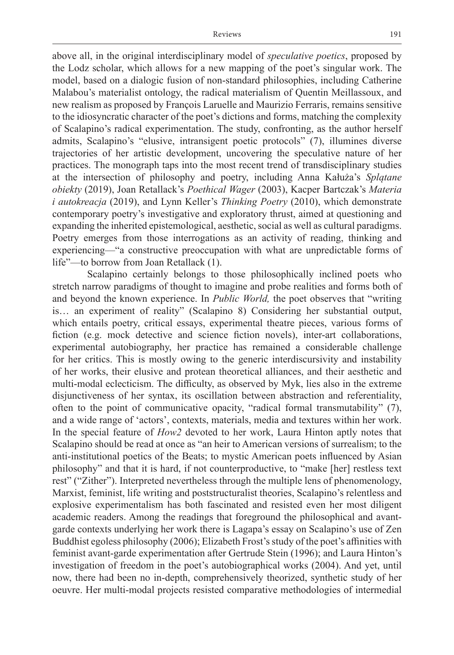above all, in the original interdisciplinary model of *speculative poetics*, proposed by the Lodz scholar, which allows for a new mapping of the poet's singular work. The model, based on a dialogic fusion of non-standard philosophies, including Catherine Malabou's materialist ontology, the radical materialism of Quentin Meillassoux, and new realism as proposed by François Laruelle and Maurizio Ferraris, remains sensitive to the idiosyncratic character of the poet's dictions and forms, matching the complexity of Scalapino's radical experimentation. The study, confronting, as the author herself admits, Scalapino's "elusive, intransigent poetic protocols" (7), illumines diverse trajectories of her artistic development, uncovering the speculative nature of her practices. The monograph taps into the most recent trend of transdisciplinary studies at the intersection of philosophy and poetry, including Anna Kałuża's *Splątane obiekty* (2019), Joan Retallack's *Poethical Wager* (2003), Kacper Bartczak's *Materia i autokreacja* (2019), and Lynn Keller's *Thinking Poetry* (2010), which demonstrate contemporary poetry's investigative and exploratory thrust, aimed at questioning and expanding the inherited epistemological, aesthetic, social as well as cultural paradigms. Poetry emerges from those interrogations as an activity of reading, thinking and experiencing—"a constructive preoccupation with what are unpredictable forms of life"—to borrow from Joan Retallack (1).

Scalapino certainly belongs to those philosophically inclined poets who stretch narrow paradigms of thought to imagine and probe realities and forms both of and beyond the known experience. In *Public World,* the poet observes that "writing is… an experiment of reality" (Scalapino 8) Considering her substantial output, which entails poetry, critical essays, experimental theatre pieces, various forms of fiction (e.g. mock detective and science fiction novels), inter-art collaborations, experimental autobiography, her practice has remained a considerable challenge for her critics. This is mostly owing to the generic interdiscursivity and instability of her works, their elusive and protean theoretical alliances, and their aesthetic and multi-modal eclecticism. The difficulty, as observed by Myk, lies also in the extreme disjunctiveness of her syntax, its oscillation between abstraction and referentiality, often to the point of communicative opacity, "radical formal transmutability" (7), and a wide range of 'actors', contexts, materials, media and textures within her work. In the special feature of *How2* devoted to her work, Laura Hinton aptly notes that Scalapino should be read at once as "an heir to American versions of surrealism; to the anti-institutional poetics of the Beats; to mystic American poets influenced by Asian philosophy" and that it is hard, if not counterproductive, to "make [her] restless text rest" ("Zither"). Interpreted nevertheless through the multiple lens of phenomenology, Marxist, feminist, life writing and poststructuralist theories, Scalapino's relentless and explosive experimentalism has both fascinated and resisted even her most diligent academic readers. Among the readings that foreground the philosophical and avantgarde contexts underlying her work there is Lagapa's essay on Scalapino's use of Zen Buddhist egoless philosophy (2006); Elizabeth Frost's study of the poet's affinities with feminist avant-garde experimentation after Gertrude Stein (1996); and Laura Hinton's investigation of freedom in the poet's autobiographical works (2004). And yet, until now, there had been no in-depth, comprehensively theorized, synthetic study of her oeuvre. Her multi-modal projects resisted comparative methodologies of intermedial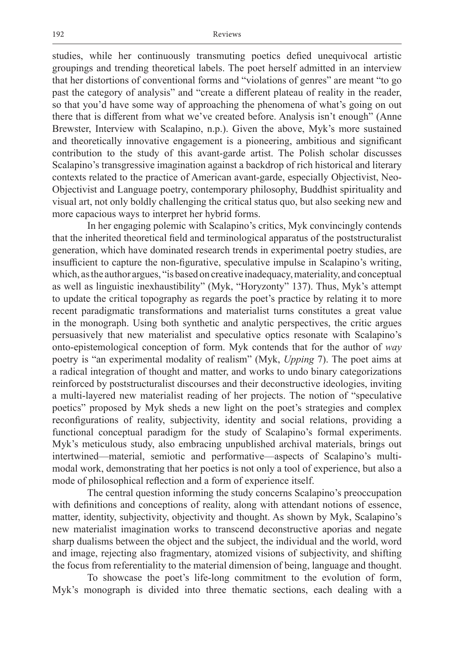studies, while her continuously transmuting poetics defied unequivocal artistic groupings and trending theoretical labels. The poet herself admitted in an interview that her distortions of conventional forms and "violations of genres" are meant "to go past the category of analysis" and "create a different plateau of reality in the reader, so that you'd have some way of approaching the phenomena of what's going on out there that is different from what we've created before. Analysis isn't enough" (Anne Brewster, Interview with Scalapino, n.p.). Given the above, Myk's more sustained and theoretically innovative engagement is a pioneering, ambitious and significant contribution to the study of this avant-garde artist. The Polish scholar discusses Scalapino's transgressive imagination against a backdrop of rich historical and literary contexts related to the practice of American avant-garde, especially Objectivist, Neo-Objectivist and Language poetry, contemporary philosophy, Buddhist spirituality and visual art, not only boldly challenging the critical status quo, but also seeking new and more capacious ways to interpret her hybrid forms.

In her engaging polemic with Scalapino's critics, Myk convincingly contends that the inherited theoretical field and terminological apparatus of the poststructuralist generation, which have dominated research trends in experimental poetry studies, are insufficient to capture the non-figurative, speculative impulse in Scalapino's writing, which, as the author argues, "is based on creative inadequacy, materiality, and conceptual as well as linguistic inexhaustibility" (Myk, "Horyzonty" 137). Thus, Myk's attempt to update the critical topography as regards the poet's practice by relating it to more recent paradigmatic transformations and materialist turns constitutes a great value in the monograph. Using both synthetic and analytic perspectives, the critic argues persuasively that new materialist and speculative optics resonate with Scalapino's onto-epistemological conception of form. Myk contends that for the author of *way* poetry is "an experimental modality of realism" (Myk, *Upping* 7). The poet aims at a radical integration of thought and matter, and works to undo binary categorizations reinforced by poststructuralist discourses and their deconstructive ideologies, inviting a multi-layered new materialist reading of her projects. The notion of "speculative poetics" proposed by Myk sheds a new light on the poet's strategies and complex reconfigurations of reality, subjectivity, identity and social relations, providing a functional conceptual paradigm for the study of Scalapino's formal experiments. Myk's meticulous study, also embracing unpublished archival materials, brings out intertwined—material, semiotic and performative—aspects of Scalapino's multimodal work, demonstrating that her poetics is not only a tool of experience, but also a mode of philosophical reflection and a form of experience itself.

The central question informing the study concerns Scalapino's preoccupation with definitions and conceptions of reality, along with attendant notions of essence, matter, identity, subjectivity, objectivity and thought. As shown by Myk, Scalapino's new materialist imagination works to transcend deconstructive aporias and negate sharp dualisms between the object and the subject, the individual and the world, word and image, rejecting also fragmentary, atomized visions of subjectivity, and shifting the focus from referentiality to the material dimension of being, language and thought.

To showcase the poet's life-long commitment to the evolution of form, Myk's monograph is divided into three thematic sections, each dealing with a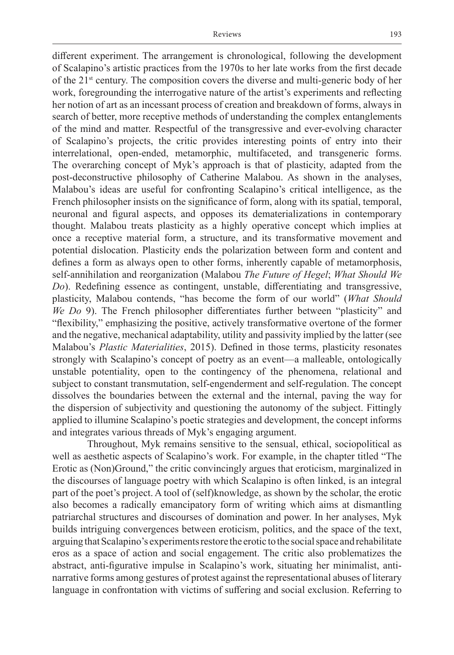different experiment. The arrangement is chronological, following the development of Scalapino's artistic practices from the 1970s to her late works from the first decade of the 21st century. The composition covers the diverse and multi-generic body of her work, foregrounding the interrogative nature of the artist's experiments and reflecting her notion of art as an incessant process of creation and breakdown of forms, always in search of better, more receptive methods of understanding the complex entanglements of the mind and matter. Respectful of the transgressive and ever-evolving character of Scalapino's projects, the critic provides interesting points of entry into their interrelational, open-ended, metamorphic, multifaceted, and transgeneric forms. The overarching concept of Myk's approach is that of plasticity, adapted from the post-deconstructive philosophy of Catherine Malabou. As shown in the analyses, Malabou's ideas are useful for confronting Scalapino's critical intelligence, as the French philosopher insists on the significance of form, along with its spatial, temporal, neuronal and figural aspects, and opposes its dematerializations in contemporary thought. Malabou treats plasticity as a highly operative concept which implies at once a receptive material form, a structure, and its transformative movement and potential dislocation. Plasticity ends the polarization between form and content and defines a form as always open to other forms, inherently capable of metamorphosis, self-annihilation and reorganization (Malabou *The Future of Hegel*; *What Should We Do*). Redefining essence as contingent, unstable, differentiating and transgressive, plasticity, Malabou contends, "has become the form of our world" (*What Should We Do* 9). The French philosopher differentiates further between "plasticity" and "flexibility," emphasizing the positive, actively transformative overtone of the former and the negative, mechanical adaptability, utility and passivity implied by the latter (see Malabou's *Plastic Materialities*, 2015). Defined in those terms, plasticity resonates strongly with Scalapino's concept of poetry as an event—a malleable, ontologically unstable potentiality, open to the contingency of the phenomena, relational and subject to constant transmutation, self-engenderment and self-regulation. The concept dissolves the boundaries between the external and the internal, paving the way for the dispersion of subjectivity and questioning the autonomy of the subject. Fittingly applied to illumine Scalapino's poetic strategies and development, the concept informs and integrates various threads of Myk's engaging argument.

Throughout, Myk remains sensitive to the sensual, ethical, sociopolitical as well as aesthetic aspects of Scalapino's work. For example, in the chapter titled "The Erotic as (Non)Ground," the critic convincingly argues that eroticism, marginalized in the discourses of language poetry with which Scalapino is often linked, is an integral part of the poet's project. A tool of (self)knowledge, as shown by the scholar, the erotic also becomes a radically emancipatory form of writing which aims at dismantling patriarchal structures and discourses of domination and power. In her analyses, Myk builds intriguing convergences between eroticism, politics, and the space of the text, arguing that Scalapino's experiments restore the erotic to the social space and rehabilitate eros as a space of action and social engagement. The critic also problematizes the abstract, anti-figurative impulse in Scalapino's work, situating her minimalist, antinarrative forms among gestures of protest against the representational abuses of literary language in confrontation with victims of suffering and social exclusion. Referring to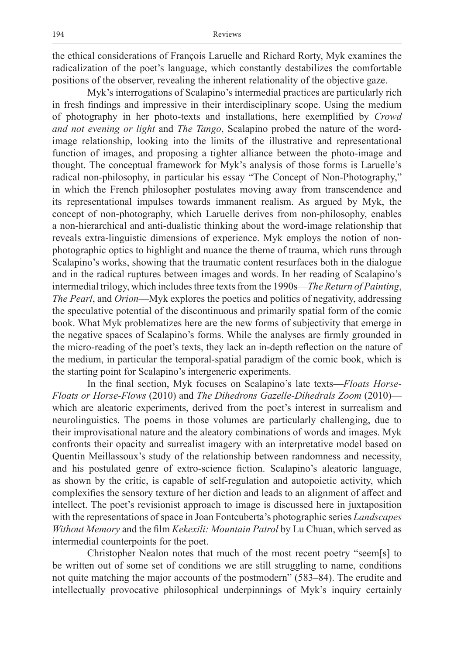the ethical considerations of François Laruelle and Richard Rorty, Myk examines the radicalization of the poet's language, which constantly destabilizes the comfortable positions of the observer, revealing the inherent relationality of the objective gaze.

Myk's interrogations of Scalapino's intermedial practices are particularly rich in fresh findings and impressive in their interdisciplinary scope. Using the medium of photography in her photo-texts and installations, here exemplified by *Crowd and not evening or light* and *The Tango*, Scalapino probed the nature of the wordimage relationship, looking into the limits of the illustrative and representational function of images, and proposing a tighter alliance between the photo-image and thought. The conceptual framework for Myk's analysis of those forms is Laruelle's radical non-philosophy, in particular his essay "The Concept of Non-Photography," in which the French philosopher postulates moving away from transcendence and its representational impulses towards immanent realism. As argued by Myk, the concept of non-photography, which Laruelle derives from non-philosophy, enables a non-hierarchical and anti-dualistic thinking about the word-image relationship that reveals extra-linguistic dimensions of experience. Myk employs the notion of nonphotographic optics to highlight and nuance the theme of trauma, which runs through Scalapino's works, showing that the traumatic content resurfaces both in the dialogue and in the radical ruptures between images and words. In her reading of Scalapino's intermedial trilogy, which includes three texts from the 1990s—*The Return of Painting*, *The Pearl*, and *Orion*—Myk explores the poetics and politics of negativity, addressing the speculative potential of the discontinuous and primarily spatial form of the comic book. What Myk problematizes here are the new forms of subjectivity that emerge in the negative spaces of Scalapino's forms. While the analyses are firmly grounded in the micro-reading of the poet's texts, they lack an in-depth reflection on the nature of the medium, in particular the temporal-spatial paradigm of the comic book, which is the starting point for Scalapino's intergeneric experiments.

In the final section, Myk focuses on Scalapino's late texts—*Floats Horse-Floats or Horse-Flows* (2010) and *The Dihedrons Gazelle-Dihedrals Zoom* (2010) which are aleatoric experiments, derived from the poet's interest in surrealism and neurolinguistics. The poems in those volumes are particularly challenging, due to their improvisational nature and the aleatory combinations of words and images. Myk confronts their opacity and surrealist imagery with an interpretative model based on Quentin Meillassoux's study of the relationship between randomness and necessity, and his postulated genre of extro-science fiction. Scalapino's aleatoric language, as shown by the critic, is capable of self-regulation and autopoietic activity, which complexifies the sensory texture of her diction and leads to an alignment of affect and intellect. The poet's revisionist approach to image is discussed here in juxtaposition with the representations of space in Joan Fontcuberta's photographic series *Landscapes Without Memory* and the film *Kekexili: Mountain Patrol* by Lu Chuan, which served as intermedial counterpoints for the poet.

Christopher Nealon notes that much of the most recent poetry "seem[s] to be written out of some set of conditions we are still struggling to name, conditions not quite matching the major accounts of the postmodern" (583–84). The erudite and intellectually provocative philosophical underpinnings of Myk's inquiry certainly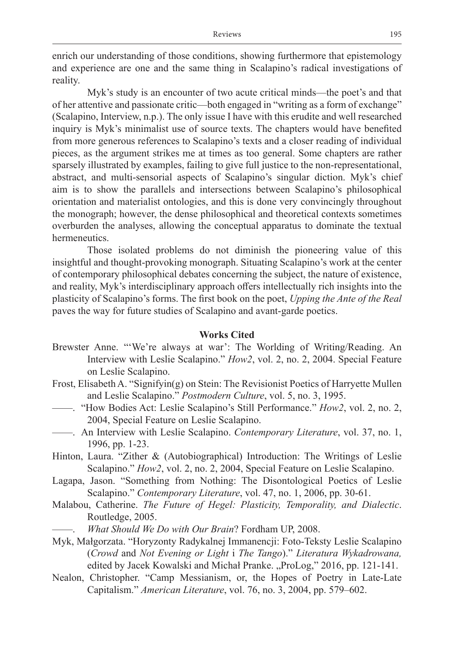enrich our understanding of those conditions, showing furthermore that epistemology and experience are one and the same thing in Scalapino's radical investigations of reality.

Myk's study is an encounter of two acute critical minds—the poet's and that of her attentive and passionate critic—both engaged in "writing as a form of exchange" (Scalapino, Interview, n.p.). The only issue I have with this erudite and well researched inquiry is Myk's minimalist use of source texts. The chapters would have benefited from more generous references to Scalapino's texts and a closer reading of individual pieces, as the argument strikes me at times as too general. Some chapters are rather sparsely illustrated by examples, failing to give full justice to the non-representational, abstract, and multi-sensorial aspects of Scalapino's singular diction. Myk's chief aim is to show the parallels and intersections between Scalapino's philosophical orientation and materialist ontologies, and this is done very convincingly throughout the monograph; however, the dense philosophical and theoretical contexts sometimes overburden the analyses, allowing the conceptual apparatus to dominate the textual hermeneutics.

Those isolated problems do not diminish the pioneering value of this insightful and thought-provoking monograph. Situating Scalapino's work at the center of contemporary philosophical debates concerning the subject, the nature of existence, and reality, Myk's interdisciplinary approach offers intellectually rich insights into the plasticity of Scalapino's forms. The first book on the poet, *Upping the Ante of the Real*  paves the way for future studies of Scalapino and avant-garde poetics.

#### **Works Cited**

- Brewster Anne. "'We're always at war': The Worlding of Writing/Reading. An Interview with Leslie Scalapino." *How2*, vol. 2, no. 2, 2004. Special Feature on Leslie Scalapino.
- Frost, Elisabeth A. "Signifyin(g) on Stein: The Revisionist Poetics of Harryette Mullen and Leslie Scalapino." *Postmodern Culture*, vol. 5, no. 3, 1995.
- ——. "How Bodies Act: Leslie Scalapino's Still Performance." *How2*, vol. 2, no. 2, 2004, Special Feature on Leslie Scalapino.
- ——. An Interview with Leslie Scalapino. *Contemporary Literature*, vol. 37, no. 1, 1996, pp. 1-23.
- Hinton, Laura. "Zither & (Autobiographical) Introduction: The Writings of Leslie Scalapino." *How2*, vol. 2, no. 2, 2004, Special Feature on Leslie Scalapino.
- Lagapa, Jason. "Something from Nothing: The Disontological Poetics of Leslie Scalapino." *Contemporary Literature*, vol. 47, no. 1, 2006, pp. 30-61.
- Malabou, Catherine. *The Future of Hegel: Plasticity, Temporality, and Dialectic*. Routledge, 2005.
	- ——. *What Should We Do with Our Brain*? Fordham UP, 2008.
- Myk, Małgorzata. "Horyzonty Radykalnej Immanencji: Foto-Teksty Leslie Scalapino (*Crowd* and *Not Evening or Light* i *The Tango*)." *Literatura Wykadrowana,*  edited by Jacek Kowalski and Michał Pranke. "ProLog," 2016, pp. 121-141.
- Nealon, Christopher. "Camp Messianism, or, the Hopes of Poetry in Late-Late Capitalism." *American Literature*, vol. 76, no. 3, 2004, pp. 579–602.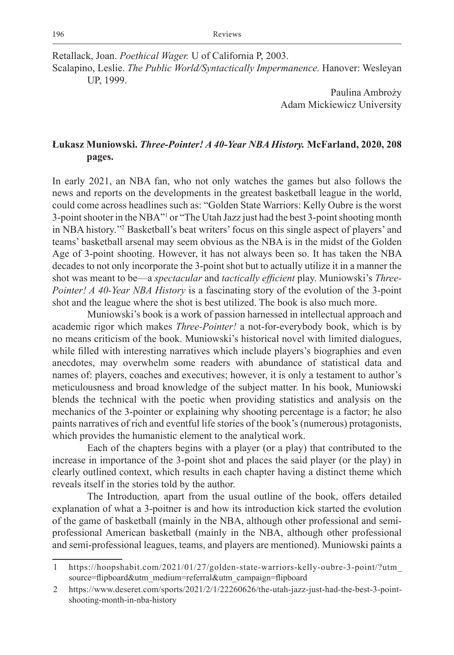Retallack, Joan. *Poethical Wager.* U of California P, 2003.

Scalapino, Leslie. *The Public World/Syntactically Impermanence.* Hanover: Wesleyan UP, 1999.

> Paulina Ambroży Adam Mickiewicz University

## **Łukasz Muniowski.** *Three-Pointer! A 40-Year NBA History.* **McFarland, 2020, 208 pages.**

In early 2021, an NBA fan, who not only watches the games but also follows the news and reports on the developments in the greatest basketball league in the world, could come across headlines such as: "Golden State Warriors: Kelly Oubre is the worst 3-point shooter in the NBA"1 or "The Utah Jazz just had the best 3-point shooting month in NBA history."<sup>2</sup> Basketball's beat writers' focus on this single aspect of players' and teams' basketball arsenal may seem obvious as the NBA is in the midst of the Golden Age of 3-point shooting. However, it has not always been so. It has taken the NBA decades to not only incorporate the 3-point shot but to actually utilize it in a manner the shot was meant to be—a *spectacular* and *tactically efficient* play. Muniowski's *Three-Pointer! A 40-Year NBA History* is a fascinating story of the evolution of the 3-point shot and the league where the shot is best utilized. The book is also much more.

Muniowski's book is a work of passion harnessed in intellectual approach and academic rigor which makes *Three-Pointer!* a not-for-everybody book, which is by no means criticism of the book. Muniowski's historical novel with limited dialogues, while filled with interesting narratives which include players's biographies and even anecdotes, may overwhelm some readers with abundance of statistical data and names of: players, coaches and executives; however, it is only a testament to author's meticulousness and broad knowledge of the subject matter. In his book, Muniowski blends the technical with the poetic when providing statistics and analysis on the mechanics of the 3-pointer or explaining why shooting percentage is a factor; he also paints narratives of rich and eventful life stories of the book's (numerous) protagonists, which provides the humanistic element to the analytical work.

Each of the chapters begins with a player (or a play) that contributed to the increase in importance of the 3-point shot and places the said player (or the play) in clearly outlined context, which results in each chapter having a distinct theme which reveals itself in the stories told by the author.

The Introduction*,* apart from the usual outline of the book, offers detailed explanation of what a 3-poitner is and how its introduction kick started the evolution of the game of basketball (mainly in the NBA, although other professional and semiprofessional American basketball (mainly in the NBA, although other professional and semi-professional leagues, teams, and players are mentioned). Muniowski paints a

<sup>1</sup> https://hoopshabit.com/2021/01/27/golden-state-warriors-kelly-oubre-3-point/?utm\_ source=flipboard&utm\_medium=referral&utm\_campaign=flipboard

<sup>2</sup> https://www.deseret.com/sports/2021/2/1/22260626/the-utah-jazz-just-had-the-best-3-pointshooting-month-in-nba-history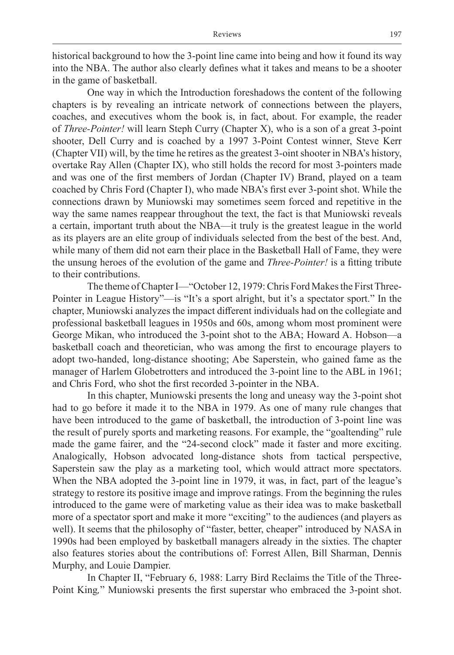historical background to how the 3-point line came into being and how it found its way into the NBA. The author also clearly defines what it takes and means to be a shooter in the game of basketball.

One way in which the Introduction foreshadows the content of the following chapters is by revealing an intricate network of connections between the players, coaches, and executives whom the book is, in fact, about. For example, the reader of *Three-Pointer!* will learn Steph Curry (Chapter X), who is a son of a great 3-point shooter, Dell Curry and is coached by a 1997 3-Point Contest winner, Steve Kerr (Chapter VII) will, by the time he retires as the greatest 3-oint shooter in NBA's history, overtake Ray Allen (Chapter IX), who still holds the record for most 3-pointers made and was one of the first members of Jordan (Chapter IV) Brand, played on a team coached by Chris Ford (Chapter I), who made NBA's first ever 3-point shot. While the connections drawn by Muniowski may sometimes seem forced and repetitive in the way the same names reappear throughout the text, the fact is that Muniowski reveals a certain, important truth about the NBA—it truly is the greatest league in the world as its players are an elite group of individuals selected from the best of the best. And, while many of them did not earn their place in the Basketball Hall of Fame, they were the unsung heroes of the evolution of the game and *Three-Pointer!* is a fitting tribute to their contributions.

The theme of Chapter I—"October 12, 1979: Chris Ford Makes the First Three-Pointer in League History"—is "It's a sport alright, but it's a spectator sport." In the chapter, Muniowski analyzes the impact different individuals had on the collegiate and professional basketball leagues in 1950s and 60s, among whom most prominent were George Mikan, who introduced the 3-point shot to the ABA; Howard A. Hobson—a basketball coach and theoretician, who was among the first to encourage players to adopt two-handed, long-distance shooting; Abe Saperstein, who gained fame as the manager of Harlem Globetrotters and introduced the 3-point line to the ABL in 1961; and Chris Ford, who shot the first recorded 3-pointer in the NBA.

In this chapter, Muniowski presents the long and uneasy way the 3-point shot had to go before it made it to the NBA in 1979. As one of many rule changes that have been introduced to the game of basketball, the introduction of 3-point line was the result of purely sports and marketing reasons. For example, the "goaltending" rule made the game fairer, and the "24-second clock" made it faster and more exciting. Analogically, Hobson advocated long-distance shots from tactical perspective, Saperstein saw the play as a marketing tool, which would attract more spectators. When the NBA adopted the 3-point line in 1979, it was, in fact, part of the league's strategy to restore its positive image and improve ratings. From the beginning the rules introduced to the game were of marketing value as their idea was to make basketball more of a spectator sport and make it more "exciting" to the audiences (and players as well). It seems that the philosophy of "faster, better, cheaper" introduced by NASA in 1990s had been employed by basketball managers already in the sixties. The chapter also features stories about the contributions of: Forrest Allen, Bill Sharman, Dennis Murphy, and Louie Dampier.

In Chapter II, "February 6, 1988: Larry Bird Reclaims the Title of the Three-Point King*,*" Muniowski presents the first superstar who embraced the 3-point shot.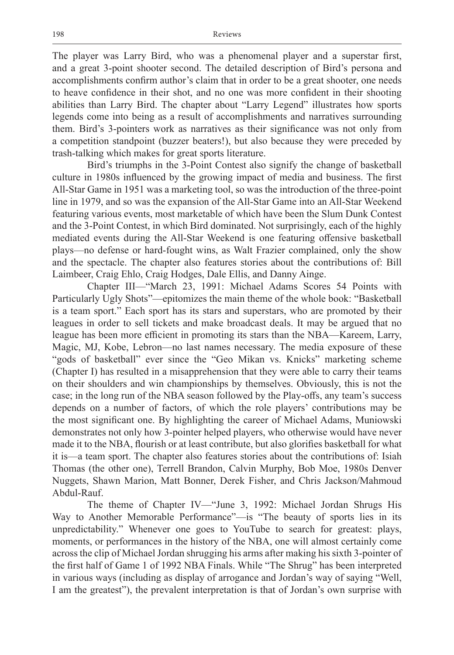The player was Larry Bird, who was a phenomenal player and a superstar first, and a great 3-point shooter second. The detailed description of Bird's persona and accomplishments confirm author's claim that in order to be a great shooter, one needs to heave confidence in their shot, and no one was more confident in their shooting abilities than Larry Bird. The chapter about "Larry Legend" illustrates how sports legends come into being as a result of accomplishments and narratives surrounding them. Bird's 3-pointers work as narratives as their significance was not only from a competition standpoint (buzzer beaters!), but also because they were preceded by trash-talking which makes for great sports literature.

Bird's triumphs in the 3-Point Contest also signify the change of basketball culture in 1980s influenced by the growing impact of media and business. The first All-Star Game in 1951 was a marketing tool, so was the introduction of the three-point line in 1979, and so was the expansion of the All-Star Game into an All-Star Weekend featuring various events, most marketable of which have been the Slum Dunk Contest and the 3-Point Contest, in which Bird dominated. Not surprisingly, each of the highly mediated events during the All-Star Weekend is one featuring offensive basketball plays—no defense or hard-fought wins, as Walt Frazier complained, only the show and the spectacle. The chapter also features stories about the contributions of: Bill Laimbeer, Craig Ehlo, Craig Hodges, Dale Ellis, and Danny Ainge.

Chapter III—"March 23, 1991: Michael Adams Scores 54 Points with Particularly Ugly Shots"—epitomizes the main theme of the whole book: "Basketball is a team sport." Each sport has its stars and superstars, who are promoted by their leagues in order to sell tickets and make broadcast deals. It may be argued that no league has been more efficient in promoting its stars than the NBA—Kareem, Larry, Magic, MJ, Kobe, Lebron—no last names necessary. The media exposure of these "gods of basketball" ever since the "Geo Mikan vs. Knicks" marketing scheme (Chapter I) has resulted in a misapprehension that they were able to carry their teams on their shoulders and win championships by themselves. Obviously, this is not the case; in the long run of the NBA season followed by the Play-offs, any team's success depends on a number of factors, of which the role players' contributions may be the most significant one. By highlighting the career of Michael Adams, Muniowski demonstrates not only how 3-pointer helped players, who otherwise would have never made it to the NBA, flourish or at least contribute, but also glorifies basketball for what it is—a team sport. The chapter also features stories about the contributions of: Isiah Thomas (the other one), Terrell Brandon, Calvin Murphy, Bob Moe, 1980s Denver Nuggets, Shawn Marion, Matt Bonner, Derek Fisher, and Chris Jackson/Mahmoud Abdul-Rauf.

The theme of Chapter IV—"June 3, 1992: Michael Jordan Shrugs His Way to Another Memorable Performance"—is "The beauty of sports lies in its unpredictability." Whenever one goes to YouTube to search for greatest: plays, moments, or performances in the history of the NBA, one will almost certainly come across the clip of Michael Jordan shrugging his arms after making his sixth 3-pointer of the first half of Game 1 of 1992 NBA Finals. While "The Shrug" has been interpreted in various ways (including as display of arrogance and Jordan's way of saying "Well, I am the greatest"), the prevalent interpretation is that of Jordan's own surprise with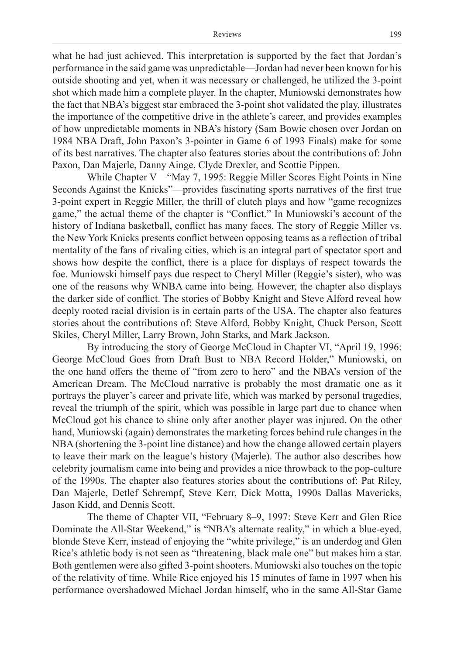what he had just achieved. This interpretation is supported by the fact that Jordan's performance in the said game was unpredictable—Jordan had never been known for his outside shooting and yet, when it was necessary or challenged, he utilized the 3-point shot which made him a complete player. In the chapter, Muniowski demonstrates how the fact that NBA's biggest star embraced the 3-point shot validated the play, illustrates the importance of the competitive drive in the athlete's career, and provides examples of how unpredictable moments in NBA's history (Sam Bowie chosen over Jordan on 1984 NBA Draft, John Paxon's 3-pointer in Game 6 of 1993 Finals) make for some of its best narratives. The chapter also features stories about the contributions of: John Paxon, Dan Majerle, Danny Ainge, Clyde Drexler, and Scottie Pippen.

While Chapter V—"May 7, 1995: Reggie Miller Scores Eight Points in Nine Seconds Against the Knicks"—provides fascinating sports narratives of the first true 3-point expert in Reggie Miller, the thrill of clutch plays and how "game recognizes game," the actual theme of the chapter is "Conflict." In Muniowski's account of the history of Indiana basketball, conflict has many faces. The story of Reggie Miller vs. the New York Knicks presents conflict between opposing teams as a reflection of tribal mentality of the fans of rivaling cities, which is an integral part of spectator sport and shows how despite the conflict, there is a place for displays of respect towards the foe. Muniowski himself pays due respect to Cheryl Miller (Reggie's sister), who was one of the reasons why WNBA came into being. However, the chapter also displays the darker side of conflict. The stories of Bobby Knight and Steve Alford reveal how deeply rooted racial division is in certain parts of the USA. The chapter also features stories about the contributions of: Steve Alford, Bobby Knight, Chuck Person, Scott Skiles, Cheryl Miller, Larry Brown, John Starks, and Mark Jackson.

By introducing the story of George McCloud in Chapter VI, "April 19, 1996: George McCloud Goes from Draft Bust to NBA Record Holder," Muniowski, on the one hand offers the theme of "from zero to hero" and the NBA's version of the American Dream. The McCloud narrative is probably the most dramatic one as it portrays the player's career and private life, which was marked by personal tragedies, reveal the triumph of the spirit, which was possible in large part due to chance when McCloud got his chance to shine only after another player was injured. On the other hand, Muniowski (again) demonstrates the marketing forces behind rule changes in the NBA (shortening the 3-point line distance) and how the change allowed certain players to leave their mark on the league's history (Majerle). The author also describes how celebrity journalism came into being and provides a nice throwback to the pop-culture of the 1990s. The chapter also features stories about the contributions of: Pat Riley, Dan Majerle, Detlef Schrempf, Steve Kerr, Dick Motta, 1990s Dallas Mavericks, Jason Kidd, and Dennis Scott.

The theme of Chapter VII, "February 8–9, 1997: Steve Kerr and Glen Rice Dominate the All-Star Weekend," is "NBA's alternate reality," in which a blue-eyed, blonde Steve Kerr, instead of enjoying the "white privilege," is an underdog and Glen Rice's athletic body is not seen as "threatening, black male one" but makes him a star. Both gentlemen were also gifted 3-point shooters. Muniowski also touches on the topic of the relativity of time. While Rice enjoyed his 15 minutes of fame in 1997 when his performance overshadowed Michael Jordan himself, who in the same All-Star Game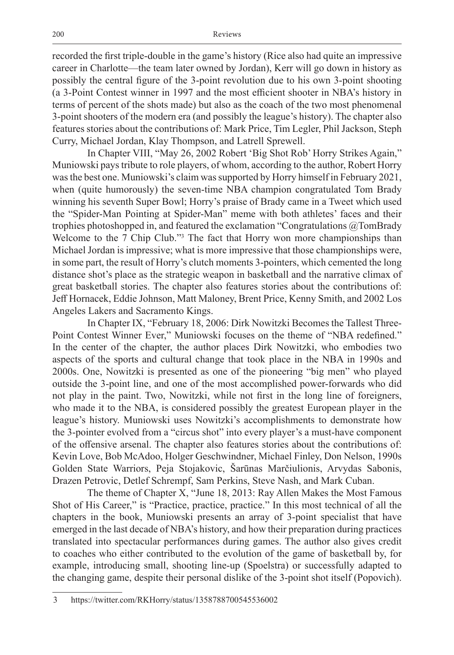recorded the first triple-double in the game's history (Rice also had quite an impressive career in Charlotte—the team later owned by Jordan), Kerr will go down in history as possibly the central figure of the 3-point revolution due to his own 3-point shooting (a 3-Point Contest winner in 1997 and the most efficient shooter in NBA's history in terms of percent of the shots made) but also as the coach of the two most phenomenal 3-point shooters of the modern era (and possibly the league's history). The chapter also features stories about the contributions of: Mark Price, Tim Legler, Phil Jackson, Steph Curry, Michael Jordan, Klay Thompson, and Latrell Sprewell.

In Chapter VIII, "May 26, 2002 Robert 'Big Shot Rob' Horry Strikes Again," Muniowski pays tribute to role players, of whom, according to the author, Robert Horry was the best one. Muniowski's claim was supported by Horry himself in February 2021, when (quite humorously) the seven-time NBA champion congratulated Tom Brady winning his seventh Super Bowl; Horry's praise of Brady came in a Tweet which used the "Spider-Man Pointing at Spider-Man" meme with both athletes' faces and their trophies photoshopped in, and featured the exclamation "Congratulations @TomBrady Welcome to the 7 Chip Club."<sup>3</sup> The fact that Horry won more championships than Michael Jordan is impressive; what is more impressive that those championships were, in some part, the result of Horry's clutch moments 3-pointers, which cemented the long distance shot's place as the strategic weapon in basketball and the narrative climax of great basketball stories. The chapter also features stories about the contributions of: Jeff Hornacek, Eddie Johnson, Matt Maloney, Brent Price, Kenny Smith, and 2002 Los Angeles Lakers and Sacramento Kings.

In Chapter IX, "February 18, 2006: Dirk Nowitzki Becomes the Tallest Three-Point Contest Winner Ever," Muniowski focuses on the theme of "NBA redefined." In the center of the chapter, the author places Dirk Nowitzki, who embodies two aspects of the sports and cultural change that took place in the NBA in 1990s and 2000s. One, Nowitzki is presented as one of the pioneering "big men" who played outside the 3-point line, and one of the most accomplished power-forwards who did not play in the paint. Two, Nowitzki, while not first in the long line of foreigners, who made it to the NBA, is considered possibly the greatest European player in the league's history. Muniowski uses Nowitzki's accomplishments to demonstrate how the 3-pointer evolved from a "circus shot" into every player's a must-have component of the offensive arsenal. The chapter also features stories about the contributions of: Kevin Love, Bob McAdoo, Holger Geschwindner, Michael Finley, Don Nelson, 1990s Golden State Warriors, Peja Stojakovic, Šarūnas Marčiulionis, Arvydas Sabonis, Drazen Petrovic, Detlef Schrempf, Sam Perkins, Steve Nash, and Mark Cuban.

The theme of Chapter X, "June 18, 2013: Ray Allen Makes the Most Famous Shot of His Career," is "Practice, practice, practice." In this most technical of all the chapters in the book, Muniowski presents an array of 3-point specialist that have emerged in the last decade of NBA's history, and how their preparation during practices translated into spectacular performances during games. The author also gives credit to coaches who either contributed to the evolution of the game of basketball by, for example, introducing small, shooting line-up (Spoelstra) or successfully adapted to the changing game, despite their personal dislike of the 3-point shot itself (Popovich).

<sup>3</sup> https://twitter.com/RKHorry/status/1358788700545536002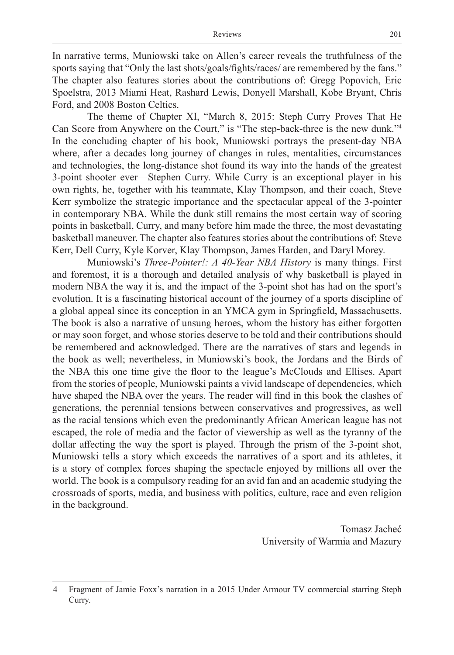In narrative terms, Muniowski take on Allen's career reveals the truthfulness of the sports saying that "Only the last shots/goals/fights/races/ are remembered by the fans." The chapter also features stories about the contributions of: Gregg Popovich, Eric Spoelstra, 2013 Miami Heat, Rashard Lewis, Donyell Marshall, Kobe Bryant, Chris Ford, and 2008 Boston Celtics.

The theme of Chapter XI, "March 8, 2015: Steph Curry Proves That He Can Score from Anywhere on the Court," is "The step-back-three is the new dunk."4 In the concluding chapter of his book, Muniowski portrays the present-day NBA where, after a decades long journey of changes in rules, mentalities, circumstances and technologies, the long-distance shot found its way into the hands of the greatest 3-point shooter ever—Stephen Curry. While Curry is an exceptional player in his own rights, he, together with his teammate, Klay Thompson, and their coach, Steve Kerr symbolize the strategic importance and the spectacular appeal of the 3-pointer in contemporary NBA. While the dunk still remains the most certain way of scoring points in basketball, Curry, and many before him made the three, the most devastating basketball maneuver. The chapter also features stories about the contributions of: Steve Kerr, Dell Curry, Kyle Korver, Klay Thompson, James Harden, and Daryl Morey.

Muniowski's *Three-Pointer!: A 40-Year NBA History* is many things. First and foremost, it is a thorough and detailed analysis of why basketball is played in modern NBA the way it is, and the impact of the 3-point shot has had on the sport's evolution. It is a fascinating historical account of the journey of a sports discipline of a global appeal since its conception in an YMCA gym in Springfield, Massachusetts. The book is also a narrative of unsung heroes, whom the history has either forgotten or may soon forget, and whose stories deserve to be told and their contributions should be remembered and acknowledged. There are the narratives of stars and legends in the book as well; nevertheless, in Muniowski's book, the Jordans and the Birds of the NBA this one time give the floor to the league's McClouds and Ellises. Apart from the stories of people, Muniowski paints a vivid landscape of dependencies, which have shaped the NBA over the years. The reader will find in this book the clashes of generations, the perennial tensions between conservatives and progressives, as well as the racial tensions which even the predominantly African American league has not escaped, the role of media and the factor of viewership as well as the tyranny of the dollar affecting the way the sport is played. Through the prism of the 3-point shot, Muniowski tells a story which exceeds the narratives of a sport and its athletes, it is a story of complex forces shaping the spectacle enjoyed by millions all over the world. The book is a compulsory reading for an avid fan and an academic studying the crossroads of sports, media, and business with politics, culture, race and even religion in the background.

> Tomasz Jacheć University of Warmia and Mazury

<sup>4</sup> Fragment of Jamie Foxx's narration in a 2015 Under Armour TV commercial starring Steph Curry.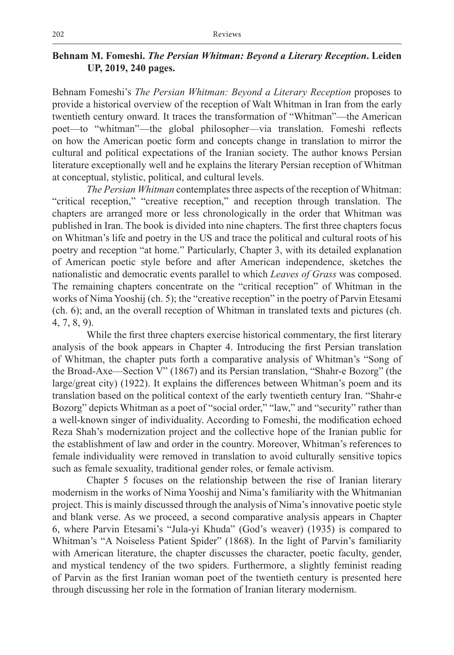## **Behnam M. Fomeshi.** *The Persian Whitman: Beyond a Literary Reception***. Leiden UP, 2019, 240 pages.**

Behnam Fomeshi's *The Persian Whitman: Beyond a Literary Reception* proposes to provide a historical overview of the reception of Walt Whitman in Iran from the early twentieth century onward. It traces the transformation of "Whitman"—the American poet—to "whitman"—the global philosopher—via translation. Fomeshi reflects on how the American poetic form and concepts change in translation to mirror the cultural and political expectations of the Iranian society. The author knows Persian literature exceptionally well and he explains the literary Persian reception of Whitman at conceptual, stylistic, political, and cultural levels.

*The Persian Whitman* contemplates three aspects of the reception of Whitman: "critical reception," "creative reception," and reception through translation. The chapters are arranged more or less chronologically in the order that Whitman was published in Iran. The book is divided into nine chapters. The first three chapters focus on Whitman's life and poetry in the US and trace the political and cultural roots of his poetry and reception "at home." Particularly, Chapter 3, with its detailed explanation of American poetic style before and after American independence, sketches the nationalistic and democratic events parallel to which *Leaves of Grass* was composed. The remaining chapters concentrate on the "critical reception" of Whitman in the works of Nima Yooshij (ch. 5); the "creative reception" in the poetry of Parvin Etesami (ch. 6); and, an the overall reception of Whitman in translated texts and pictures (ch. 4, 7, 8, 9).

While the first three chapters exercise historical commentary, the first literary analysis of the book appears in Chapter 4. Introducing the first Persian translation of Whitman, the chapter puts forth a comparative analysis of Whitman's "Song of the Broad-Axe—Section V" (1867) and its Persian translation, "Shahr-e Bozorg" (the large/great city) (1922). It explains the differences between Whitman's poem and its translation based on the political context of the early twentieth century Iran. "Shahr-e Bozorg" depicts Whitman as a poet of "social order," "law," and "security" rather than a well-known singer of individuality. According to Fomeshi, the modification echoed Reza Shah's modernization project and the collective hope of the Iranian public for the establishment of law and order in the country. Moreover, Whitman's references to female individuality were removed in translation to avoid culturally sensitive topics such as female sexuality, traditional gender roles, or female activism.

Chapter 5 focuses on the relationship between the rise of Iranian literary modernism in the works of Nima Yooshij and Nima's familiarity with the Whitmanian project. This is mainly discussed through the analysis of Nima's innovative poetic style and blank verse. As we proceed, a second comparative analysis appears in Chapter 6, where Parvin Etesami's "Jula-yi Khuda" (God's weaver) (1935) is compared to Whitman's "A Noiseless Patient Spider" (1868). In the light of Parvin's familiarity with American literature, the chapter discusses the character, poetic faculty, gender, and mystical tendency of the two spiders. Furthermore, a slightly feminist reading of Parvin as the first Iranian woman poet of the twentieth century is presented here through discussing her role in the formation of Iranian literary modernism.